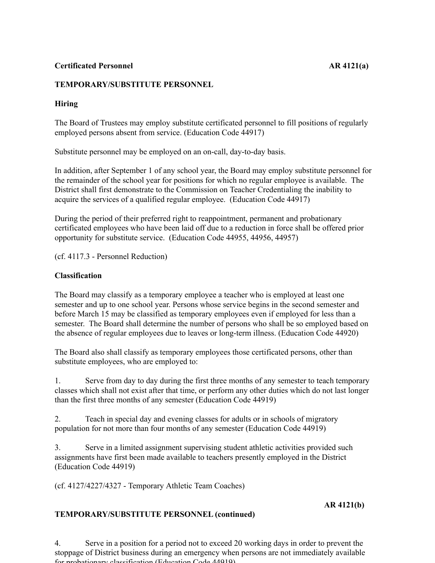### **Certificated Personnel AR 4121(a)**

### **TEMPORARY/SUBSTITUTE PERSONNEL**

## **Hiring**

The Board of Trustees may employ substitute certificated personnel to fill positions of regularly employed persons absent from service. (Education Code 44917)

Substitute personnel may be employed on an on-call, day-to-day basis.

In addition, after September 1 of any school year, the Board may employ substitute personnel for the remainder of the school year for positions for which no regular employee is available. The District shall first demonstrate to the Commission on Teacher Credentialing the inability to acquire the services of a qualified regular employee. (Education Code 44917)

During the period of their preferred right to reappointment, permanent and probationary certificated employees who have been laid off due to a reduction in force shall be offered prior opportunity for substitute service. (Education Code 44955, 44956, 44957)

(cf. 4117.3 - Personnel Reduction)

### **Classification**

The Board may classify as a temporary employee a teacher who is employed at least one semester and up to one school year. Persons whose service begins in the second semester and before March 15 may be classified as temporary employees even if employed for less than a semester. The Board shall determine the number of persons who shall be so employed based on the absence of regular employees due to leaves or long-term illness. (Education Code 44920)

The Board also shall classify as temporary employees those certificated persons, other than substitute employees, who are employed to:

1. Serve from day to day during the first three months of any semester to teach temporary classes which shall not exist after that time, or perform any other duties which do not last longer than the first three months of any semester (Education Code 44919)

2. Teach in special day and evening classes for adults or in schools of migratory population for not more than four months of any semester (Education Code 44919)

3. Serve in a limited assignment supervising student athletic activities provided such assignments have first been made available to teachers presently employed in the District (Education Code 44919)

(cf. 4127/4227/4327 - Temporary Athletic Team Coaches)

#### **AR 4121(b)**

#### **TEMPORARY/SUBSTITUTE PERSONNEL (continued)**

4. Serve in a position for a period not to exceed 20 working days in order to prevent the stoppage of District business during an emergency when persons are not immediately available for probationary classification (Education Code 44919)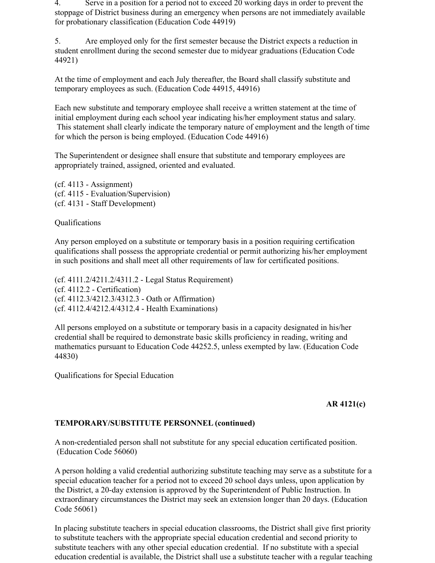4. Serve in a position for a period not to exceed 20 working days in order to prevent the stoppage of District business during an emergency when persons are not immediately available for probationary classification (Education Code 44919)

5. Are employed only for the first semester because the District expects a reduction in student enrollment during the second semester due to midyear graduations (Education Code 44921)

At the time of employment and each July thereafter, the Board shall classify substitute and temporary employees as such. (Education Code 44915, 44916)

Each new substitute and temporary employee shall receive a written statement at the time of initial employment during each school year indicating his/her employment status and salary. This statement shall clearly indicate the temporary nature of employment and the length of time for which the person is being employed. (Education Code 44916)

The Superintendent or designee shall ensure that substitute and temporary employees are appropriately trained, assigned, oriented and evaluated.

(cf. 4113 - Assignment) (cf. 4115 - Evaluation/Supervision) (cf. 4131 - Staff Development)

Qualifications

Any person employed on a substitute or temporary basis in a position requiring certification qualifications shall possess the appropriate credential or permit authorizing his/her employment in such positions and shall meet all other requirements of law for certificated positions.

(cf. 4111.2/4211.2/4311.2 - Legal Status Requirement) (cf. 4112.2 - Certification) (cf. 4112.3/4212.3/4312.3 - Oath or Affirmation) (cf. 4112.4/4212.4/4312.4 - Health Examinations)

All persons employed on a substitute or temporary basis in a capacity designated in his/her credential shall be required to demonstrate basic skills proficiency in reading, writing and mathematics pursuant to Education Code 44252.5, unless exempted by law. (Education Code 44830)

Qualifications for Special Education

### **AR 4121(c)**

### **TEMPORARY/SUBSTITUTE PERSONNEL (continued)**

A non-credentialed person shall not substitute for any special education certificated position. (Education Code 56060)

A person holding a valid credential authorizing substitute teaching may serve as a substitute for a special education teacher for a period not to exceed 20 school days unless, upon application by the District, a 20-day extension is approved by the Superintendent of Public Instruction. In extraordinary circumstances the District may seek an extension longer than 20 days. (Education Code 56061)

In placing substitute teachers in special education classrooms, the District shall give first priority to substitute teachers with the appropriate special education credential and second priority to substitute teachers with any other special education credential. If no substitute with a special education credential is available, the District shall use a substitute teacher with a regular teaching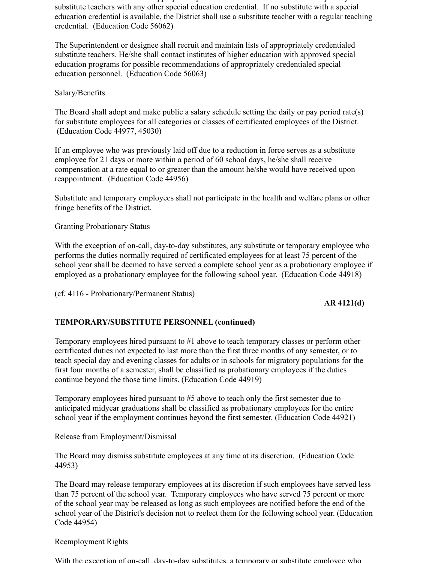to substitute teachers with the appropriate special education credential and second priority to substitute teachers with any other special education credential. If no substitute with a special education credential is available, the District shall use a substitute teacher with a regular teaching credential. (Education Code 56062)

The Superintendent or designee shall recruit and maintain lists of appropriately credentialed substitute teachers. He/she shall contact institutes of higher education with approved special education programs for possible recommendations of appropriately credentialed special education personnel. (Education Code 56063)

Salary/Benefits

The Board shall adopt and make public a salary schedule setting the daily or pay period rate(s) for substitute employees for all categories or classes of certificated employees of the District. (Education Code 44977, 45030)

If an employee who was previously laid off due to a reduction in force serves as a substitute employee for 21 days or more within a period of 60 school days, he/she shall receive compensation at a rate equal to or greater than the amount he/she would have received upon reappointment. (Education Code 44956)

Substitute and temporary employees shall not participate in the health and welfare plans or other fringe benefits of the District.

Granting Probationary Status

With the exception of on-call, day-to-day substitutes, any substitute or temporary employee who performs the duties normally required of certificated employees for at least 75 percent of the school year shall be deemed to have served a complete school year as a probationary employee if employed as a probationary employee for the following school year. (Education Code 44918)

(cf. 4116 - Probationary/Permanent Status)

**AR 4121(d)**

# **TEMPORARY/SUBSTITUTE PERSONNEL (continued)**

Temporary employees hired pursuant to #1 above to teach temporary classes or perform other certificated duties not expected to last more than the first three months of any semester, or to teach special day and evening classes for adults or in schools for migratory populations for the first four months of a semester, shall be classified as probationary employees if the duties continue beyond the those time limits. (Education Code 44919)

Temporary employees hired pursuant to #5 above to teach only the first semester due to anticipated midyear graduations shall be classified as probationary employees for the entire school year if the employment continues beyond the first semester. (Education Code 44921)

Release from Employment/Dismissal

The Board may dismiss substitute employees at any time at its discretion. (Education Code 44953)

The Board may release temporary employees at its discretion if such employees have served less than 75 percent of the school year. Temporary employees who have served 75 percent or more of the school year may be released as long as such employees are notified before the end of the school year of the District's decision not to reelect them for the following school year. (Education Code 44954)

### Reemployment Rights

With the exception of on-call, day-to-day substitutes, a temporary or substitute employee who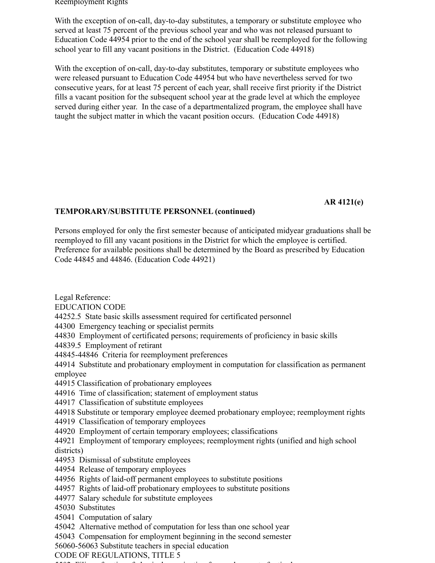#### Reemployment Rights

With the exception of on-call, day-to-day substitutes, a temporary or substitute employee who served at least 75 percent of the previous school year and who was not released pursuant to Education Code 44954 prior to the end of the school year shall be reemployed for the following school year to fill any vacant positions in the District. (Education Code 44918)

With the exception of on-call, day-to-day substitutes, temporary or substitute employees who were released pursuant to Education Code 44954 but who have nevertheless served for two consecutive years, for at least 75 percent of each year, shall receive first priority if the District fills a vacant position for the subsequent school year at the grade level at which the employee served during either year. In the case of a departmentalized program, the employee shall have taught the subject matter in which the vacant position occurs. (Education Code 44918)

# **AR 4121(e)**

## **TEMPORARY/SUBSTITUTE PERSONNEL (continued)**

Persons employed for only the first semester because of anticipated midyear graduations shall be reemployed to fill any vacant positions in the District for which the employee is certified. Preference for available positions shall be determined by the Board as prescribed by Education Code 44845 and 44846. (Education Code 44921)

Legal Reference:

EDUCATION CODE

44252.5 State basic skills assessment required for certificated personnel

44300 Emergency teaching or specialist permits

44830 Employment of certificated persons; requirements of proficiency in basic skills

44839.5 Employment of retirant

44845-44846 Criteria for reemployment preferences

44914 Substitute and probationary employment in computation for classification as permanent employee

44915 Classification of probationary employees

44916 Time of classification; statement of employment status

44917 Classification of substitute employees

44918 Substitute or temporary employee deemed probationary employee; reemployment rights

44919 Classification of temporary employees

44920 Employment of certain temporary employees; classifications

44921 Employment of temporary employees; reemployment rights (unified and high school districts)

44953 Dismissal of substitute employees

44954 Release of temporary employees

44956 Rights of laid-off permanent employees to substitute positions

44957 Rights of laid-off probationary employees to substitute positions

44977 Salary schedule for substitute employees

45030 Substitutes

45041 Computation of salary

45042 Alternative method of computation for less than one school year

45043 Compensation for employment beginning in the second semester

56060-56063 Substitute teachers in special education

CODE OF REGULATIONS, TITLE 5

 $5502$  Filing of physical examination for examination for examination for  $r = 1$